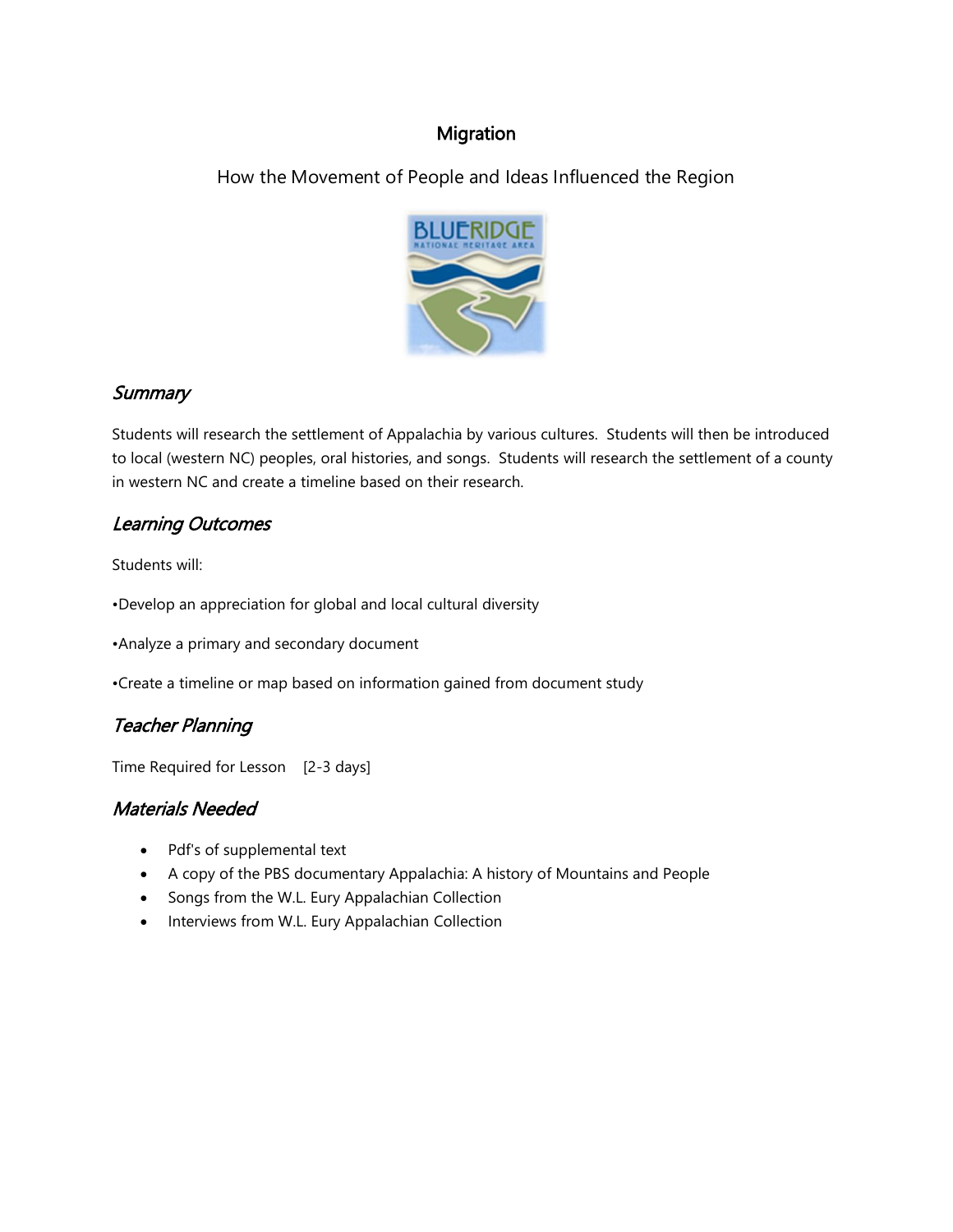## Migration

How the Movement of People and Ideas Influenced the Region



## **Summary**

Students will research the settlement of Appalachia by various cultures. Students will then be introduced to local (western NC) peoples, oral histories, and songs. Students will research the settlement of a county in western NC and create a timeline based on their research.

# Learning Outcomes

Students will:

•Develop an appreciation for global and local cultural diversity

•Analyze a primary and secondary document

•Create a timeline or map based on information gained from document study

# Teacher Planning

Time Required for Lesson [2-3 days]

# Materials Needed

- Pdf's of supplemental text
- A copy of the PBS documentary Appalachia: A history of Mountains and People
- Songs from the W.L. Eury Appalachian Collection
- Interviews from W.L. Eury Appalachian Collection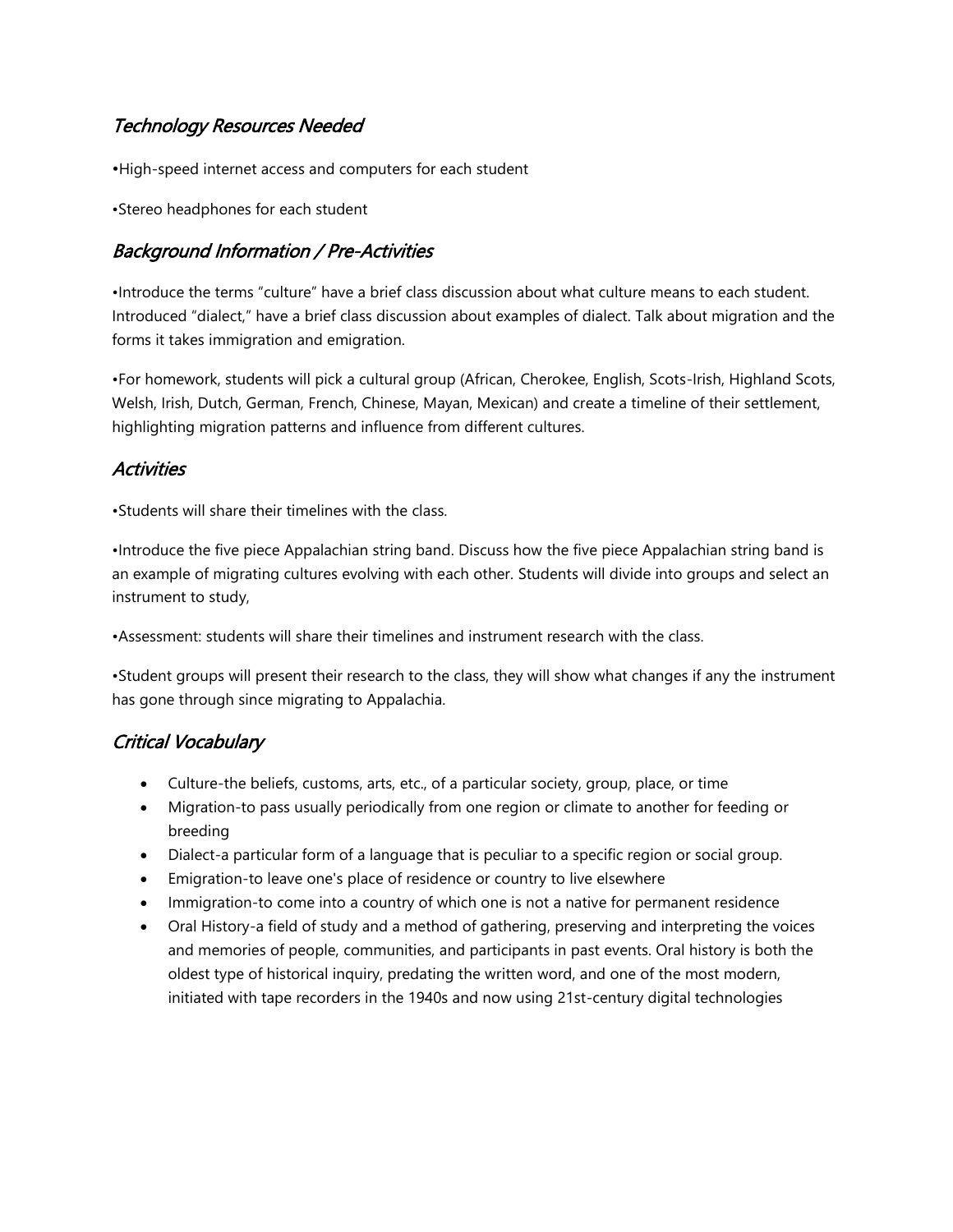# Technology Resources Needed

•High-speed internet access and computers for each student

•Stereo headphones for each student

## Background Information / Pre-Activities

•Introduce the terms "culture" have a brief class discussion about what culture means to each student. Introduced "dialect," have a brief class discussion about examples of dialect. Talk about migration and the forms it takes immigration and emigration.

•For homework, students will pick a cultural group (African, Cherokee, English, Scots-Irish, Highland Scots, Welsh, Irish, Dutch, German, French, Chinese, Mayan, Mexican) and create a timeline of their settlement, highlighting migration patterns and influence from different cultures.

# **Activities**

•Students will share their timelines with the class.

•Introduce the five piece Appalachian string band. Discuss how the five piece Appalachian string band is an example of migrating cultures evolving with each other. Students will divide into groups and select an instrument to study,

•Assessment: students will share their timelines and instrument research with the class.

•Student groups will present their research to the class, they will show what changes if any the instrument has gone through since migrating to Appalachia.

# Critical Vocabulary

- Culture-the beliefs, customs, arts, etc., of a particular society, group, place, or time
- Migration-to pass usually periodically from one region or climate to another for feeding or breeding
- Dialect-a particular form of a language that is peculiar to a specific region or social group.
- Emigration-to leave one's place of residence or country to live elsewhere
- Immigration-to come into a country of which one is not a native for permanent residence
- Oral History-a field of study and a method of gathering, preserving and interpreting the voices and memories of people, communities, and participants in past events. Oral history is both the oldest type of historical inquiry, predating the written word, and one of the most modern, initiated with tape recorders in the 1940s and now using 21st-century digital technologies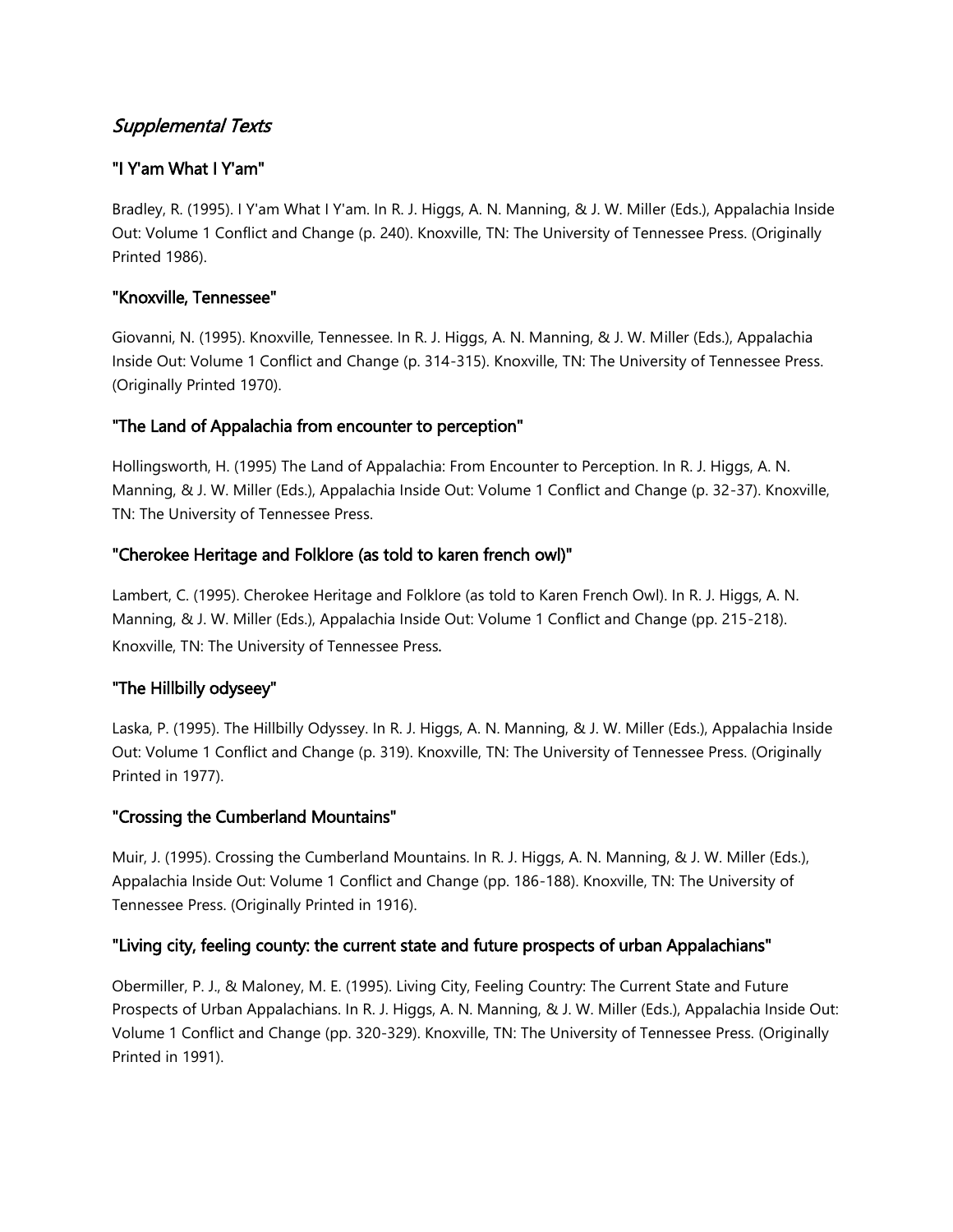# Supplemental Texts

### "I Y'am What I Y'am"

Bradley, R. (1995). I Y'am What I Y'am. In R. J. Higgs, A. N. Manning, & J. W. Miller (Eds.), Appalachia Inside Out: Volume 1 Conflict and Change (p. 240). Knoxville, TN: The University of Tennessee Press. (Originally Printed 1986).

### "Knoxville, Tennessee"

Giovanni, N. (1995). Knoxville, Tennessee. In R. J. Higgs, A. N. Manning, & J. W. Miller (Eds.), Appalachia Inside Out: Volume 1 Conflict and Change (p. 314-315). Knoxville, TN: The University of Tennessee Press. (Originally Printed 1970).

### "The Land of Appalachia from encounter to perception"

Hollingsworth, H. (1995) The Land of Appalachia: From Encounter to Perception. In R. J. Higgs, A. N. Manning, & J. W. Miller (Eds.), Appalachia Inside Out: Volume 1 Conflict and Change (p. 32-37). Knoxville, TN: The University of Tennessee Press.

#### "Cherokee Heritage and Folklore (as told to karen french owl)"

Lambert, C. (1995). Cherokee Heritage and Folklore (as told to Karen French Owl). In R. J. Higgs, A. N. Manning, & J. W. Miller (Eds.), Appalachia Inside Out: Volume 1 Conflict and Change (pp. 215-218). Knoxville, TN: The University of Tennessee Press.

### "The Hillbilly odyseey"

Laska, P. (1995). The Hillbilly Odyssey. In R. J. Higgs, A. N. Manning, & J. W. Miller (Eds.), Appalachia Inside Out: Volume 1 Conflict and Change (p. 319). Knoxville, TN: The University of Tennessee Press. (Originally Printed in 1977).

#### "Crossing the Cumberland Mountains"

Muir, J. (1995). Crossing the Cumberland Mountains. In R. J. Higgs, A. N. Manning, & J. W. Miller (Eds.), Appalachia Inside Out: Volume 1 Conflict and Change (pp. 186-188). Knoxville, TN: The University of Tennessee Press. (Originally Printed in 1916).

### "Living city, feeling county: the current state and future prospects of urban Appalachians"

Obermiller, P. J., & Maloney, M. E. (1995). Living City, Feeling Country: The Current State and Future Prospects of Urban Appalachians. In R. J. Higgs, A. N. Manning, & J. W. Miller (Eds.), Appalachia Inside Out: Volume 1 Conflict and Change (pp. 320-329). Knoxville, TN: The University of Tennessee Press. (Originally Printed in 1991).